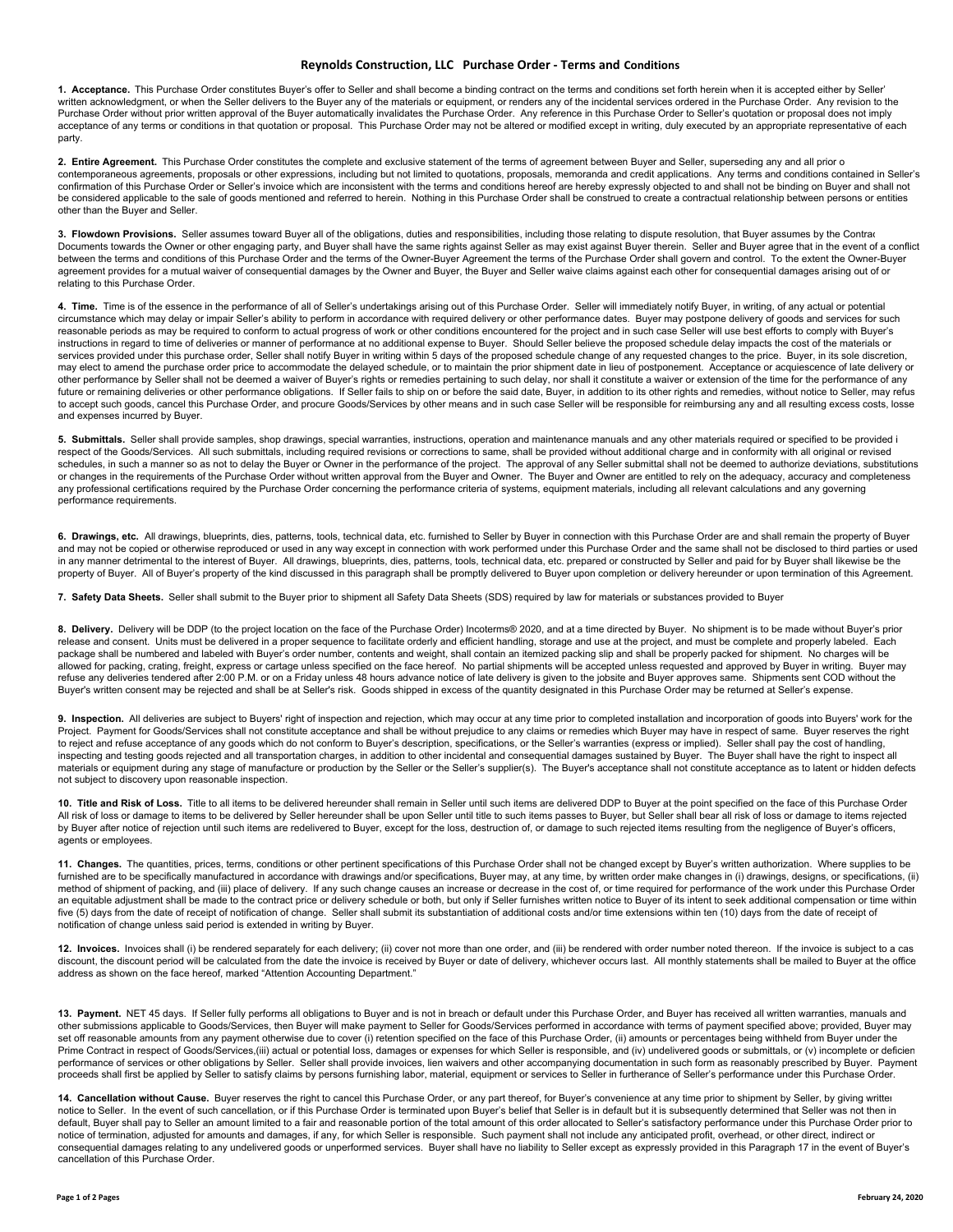## **Reynolds Construction, LLC Purchase Order ‐ Terms and Conditions**

**1. Acceptance.** This Purchase Order constitutes Buyer's offer to Seller and shall become a binding contract on the terms and conditions set forth herein when it is accepted either by Seller' written acknowledgment, or when the Seller delivers to the Buyer any of the materials or equipment, or renders any of the incidental services ordered in the Purchase Order. Any revision to the Purchase Order without prior written approval of the Buyer automatically invalidates the Purchase Order. Any reference in this Purchase Order to Seller's quotation or proposal does not imply acceptance of any terms or conditions in that quotation or proposal. This Purchase Order may not be altered or modified except in writing, duly executed by an appropriate representative of each party.

**2. Entire Agreement.** This Purchase Order constitutes the complete and exclusive statement of the terms of agreement between Buyer and Seller, superseding any and all prior o<br>contemporaneous agreements, proposals or oth confirmation of this Purchase Order or Seller's invoice which are inconsistent with the terms and conditions hereof are hereby expressly objected to and shall not be binding on Buyer and shall not be considered applicable to the sale of goods mentioned and referred to herein. Nothing in this Purchase Order shall be construed to create a contractual relationship between persons or entities other than the Buyer and Seller.

3. Flowdown Provisions. Seller assumes toward Buyer all of the obligations, duties and responsibilities, including those relating to dispute resolution, that Buyer assumes by the Contrac Documents towards the Owner or other engaging party, and Buyer shall have the same rights against Seller as may exist against Buyer therein. Seller and Buyer agree that in the event of a conflict between the terms and conditions of this Purchase Order and the terms of the Owner-Buyer Agreement the terms of the Purchase Order shall govern and control. To the extent the Owner-Buyer agreement provides for a mutual waiver of consequential damages by the Owner and Buyer, the Buyer and Seller waive claims against each other for consequential damages arising out of or relating to this Purchase Order.

**4. Time.** Time is of the essence in the performance of all of Seller's undertakings arising out of this Purchase Order. Seller will immediately notify Buyer, in writing, of any actual or potential circumstance which may delay or impair Seller's ability to perform in accordance with required delivery or other performance dates. Buyer may postpone delivery of goods and services for such reasonable periods as may be required to conform to actual progress of work or other conditions encountered for the project and in such case Seller will use best efforts to comply with Buyer's instructions in regard to time of deliveries or manner of performance at no additional expense to Buyer. Should Seller believe the proposed schedule delay impacts the cost of the materials or services provided under this purchase order, Seller shall notify Buyer in writing within 5 days of the proposed schedule change of any requested changes to the price. Buyer, in its sole discretion, may elect to amend the purchase order price to accommodate the delayed schedule, or to maintain the prior shipment date in lieu of postponement. Acceptance or acquiescence of late delivery or other performance by Seller shall not be deemed a waiver of Buyer's rights or remedies pertaining to such delay, nor shall it constitute a waiver or extension of the time for the performance of any future or remaining deliveries or other performance obligations. If Seller fails to ship on or before the said date, Buyer, in addition to its other rights and remedies, without notice to Seller, may refus<br>to accept such g and expenses incurred by Buyer.

**5. Submittals.** Seller shall provide samples, shop drawings, special warranties, instructions, operation and maintenance manuals and any other materials required or specified to be provided i respect of the Goods/Services. All such submittals, including required revisions or corrections to same, shall be provided without additional charge and in conformity with all original or revised schedules, in such a manner so as not to delay the Buyer or Owner in the performance of the project. The approval of any Seller submittal shall not be deemed to authorize deviations, substitutions or changes in the requirements of the Purchase Order without written approval from the Buyer and Owner. The Buyer and Owner are entitled to rely on the adequacy, accuracy and completeness any professional certifications required by the Purchase Order concerning the performance criteria of systems, equipment materials, including all relevant calculations and any governing performance requirements.

6. Drawings, etc. All drawings, blueprints, dies, patterns, tools, technical data, etc. furnished to Seller by Buyer in connection with this Purchase Order are and shall remain the property of Buyer and may not be copied or otherwise reproduced or used in any way except in connection with work performed under this Purchase Order and the same shall not be disclosed to third parties or used in any manner detrimental to the interest of Buyer. All drawings, blueprints, dies, patterns, tools, technical data, etc. prepared or constructed by Seller and paid for by Buyer shall likewise be the property of Buyer. All of Buyer's property of the kind discussed in this paragraph shall be promptly delivered to Buyer upon completion or delivery hereunder or upon termination of this Agreement.

**7. Safety Data Sheets.** Seller shall submit to the Buyer prior to shipment all Safety Data Sheets (SDS) required by law for materials or substances provided to Buyer

**8. Delivery.** Delivery will be DDP (to the project location on the face of the Purchase Order) Incoterms® 2020, and at a time directed by Buyer. No shipment is to be made without Buyer's prior release and consent. Units must be delivered in a proper sequence to facilitate orderly and efficient handling, storage and use at the project, and must be complete and properly labeled. Each package shall be numbered and labeled with Buyer's order number, contents and weight, shall contain an itemized packing slip and shall be properly packed for shipment. No charges will be allowed for packing, crating, freight, express or cartage unless specified on the face hereof. No partial shipments will be accepted unless requested and approved by Buyer in writing. Buyer may refuse any deliveries tendered after 2:00 P.M. or on a Friday unless 48 hours advance notice of late delivery is given to the jobsite and Buyer approves same. Shipments sent COD without the Buyer's written consent may be rejected and shall be at Seller's risk. Goods shipped in excess of the quantity designated in this Purchase Order may be returned at Seller's expense.

**9. Inspection.** All deliveries are subject to Buyers' right of inspection and rejection, which may occur at any time prior to completed installation and incorporation of goods into Buyers' work for the Project. Payment for Goods/Services shall not constitute acceptance and shall be without prejudice to any claims or remedies which Buyer may have in respect of same. Buyer reserves the right to reject and refuse acceptance of any goods which do not conform to Buyer's description, specifications, or the Seller's warranties (express or implied). Seller shall pay the cost of handling, inspecting and testing goods rejected and all transportation charges, in addition to other incidental and consequential damages sustained by Buyer. The Buyer shall have the right to inspect all materials or equipment during any stage of manufacture or production by the Seller or the Seller's supplier(s). The Buyer's acceptance shall not constitute acceptance as to latent or hidden defects not subject to discovery upon reasonable inspection.

**10. Title and Risk of Loss.** Title to all items to be delivered hereunder shall remain in Seller until such items are delivered DDP to Buyer at the point specified on the face of this Purchase Order All risk of loss or damage to items to be delivered by Seller hereunder shall be upon Seller until title to such items passes to Buyer, but Seller shall bear all risk of loss or damage to items rejected by Buyer after notice of rejection until such items are redelivered to Buyer, except for the loss, destruction of, or damage to such rejected items resulting from the negligence of Buyer's officers, agents or employees.

**11. Changes.** The quantities, prices, terms, conditions or other pertinent specifications of this Purchase Order shall not be changed except by Buyer's written authorization. Where supplies to be<br>furnished are to be spe method of shipment of packing, and (iii) place of delivery. If any such change causes an increase or decrease in the cost of, or time required for performance of the work under this Purchase Order an equitable adjustment shall be made to the contract price or delivery schedule or both, but only if Seller furnishes written notice to Buyer of its intent to seek additional compensation or time within<br>five (5) days fro notification of change unless said period is extended in writing by Buyer.

**12. Invoices.** Invoices shall (i) be rendered separately for each delivery; (ii) cover not more than one order, and (iii) be rendered with order number noted thereon. If the invoice is subject to a cas discount, the discount period will be calculated from the date the invoice is received by Buyer or date of delivery, whichever occurs last. All monthly statements shall be mailed to Buyer at the office address as shown on the face hereof, marked "Attention Accounting Department."

**13. Payment.** NET 45 days. If Seller fully performs all obligations to Buyer and is not in breach or default under this Purchase Order, and Buyer has received all written warranties, manuals and other submissions applicable to Goods/Services, then Buyer will make payment to Seller for Goods/Services performed in accordance with terms of payment specified above; provided, Buyer may set off reasonable amounts from any payment otherwise due to cover (i) retention specified on the face of this Purchase Order, (ii) amounts or percentages being withheld from Buyer under the Prime Contract in respect of Goods/Services,(iii) actual or potential loss, damages or expenses for which Seller is responsible, and (iv) undelivered goods or submittals, or (v) incomplete or deficier performance of services or other obligations by Seller. Seller shall provide invoices, lien waivers and other accompanying documentation in such form as reasonably prescribed by Buyer. Payment proceeds shall first be applied by Seller to satisfy claims by persons furnishing labor, material, equipment or services to Seller in furtherance of Seller's performance under this Purchase Order.

14. Cancellation without Cause. Buyer reserves the right to cancel this Purchase Order, or any part thereof, for Buyer's convenience at any time prior to shipment by Seller, by giving writter notice to Seller. In the event of such cancellation, or if this Purchase Order is terminated upon Buyer's belief that Seller is in default but it is subsequently determined that Seller was not then in default, Buyer shall pay to Seller an amount limited to a fair and reasonable portion of the total amount of this order allocated to Seller's satisfactory performance under this Purchase Order prior to notice of termination, adjusted for amounts and damages, if any, for which Seller is responsible. Such payment shall not include any anticipated profit, overhead, or other direct, indirect or<br>consequential damages relatin cancellation of this Purchase Order.